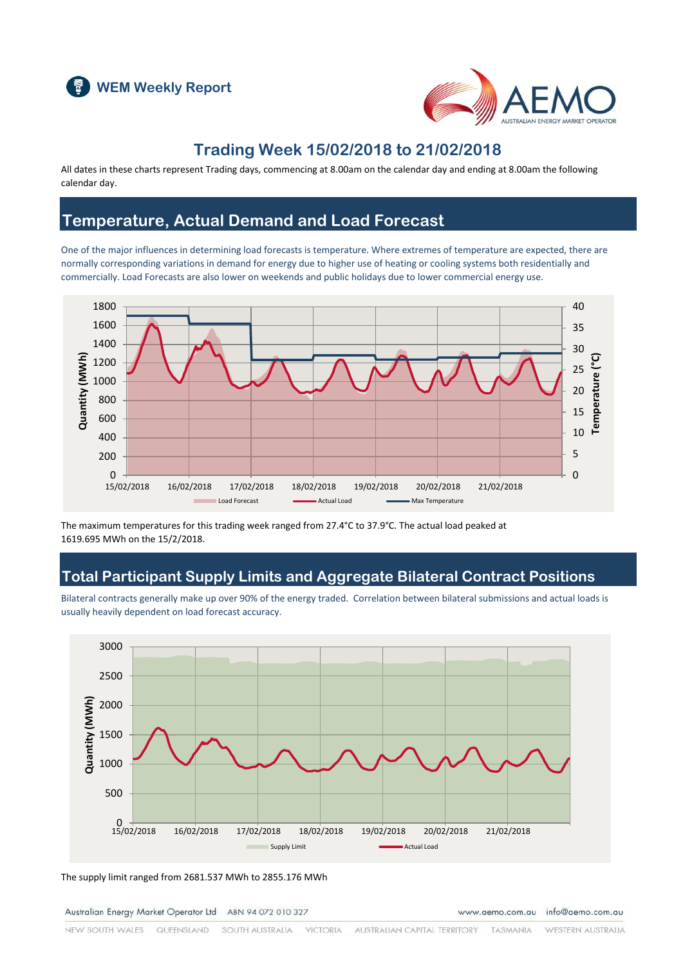



### **Trading Week 15/02/2018 to 21/02/2018**

All dates in these charts represent Trading days, commencing at 8.00am on the calendar day and ending at 8.00am the following calendar day.

### **Temperature, Actual Demand and Load Forecast**

One of the major influences in determining load forecasts is temperature. Where extremes of temperature are expected, there are normally corresponding variations in demand for energy due to higher use of heating or cooling systems both residentially and commercially. Load Forecasts are also lower on weekends and public holidays due to lower commercial energy use.



The maximum temperatures for this trading week ranged from 27.4°C to 37.9°C. The actual load peaked at 1619.695 MWh on the 15/2/2018.

### **Total Participant Supply Limits and Aggregate Bilateral Contract Positions**

Bilateral contracts generally make up over 90% of the energy traded. Correlation between bilateral submissions and actual loads is usually heavily dependent on load forecast accuracy.



The supply limit ranged from 2681.537 MWh to 2855.176 MWh

Australian Energy Market Operator Ltd ABN 94 072 010 327

www.aemo.com.au info@aemo.com.au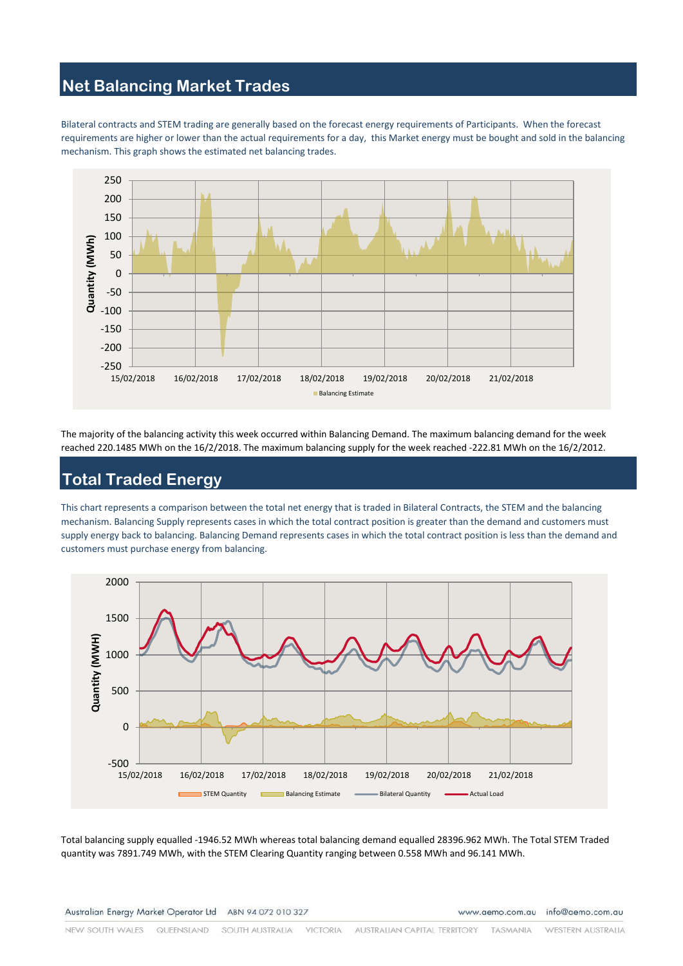# **Net Balancing Market Trades**

Bilateral contracts and STEM trading are generally based on the forecast energy requirements of Participants. When the forecast requirements are higher or lower than the actual requirements for a day, this Market energy must be bought and sold in the balancing mechanism. This graph shows the estimated net balancing trades.



The majority of the balancing activity this week occurred within Balancing Demand. The maximum balancing demand for the week reached 220.1485 MWh on the 16/2/2018. The maximum balancing supply for the week reached -222.81 MWh on the 16/2/2012.

# **Total Traded Energy**

This chart represents a comparison between the total net energy that is traded in Bilateral Contracts, the STEM and the balancing mechanism. Balancing Supply represents cases in which the total contract position is greater than the demand and customers must supply energy back to balancing. Balancing Demand represents cases in which the total contract position is less than the demand and customers must purchase energy from balancing.



Total balancing supply equalled -1946.52 MWh whereas total balancing demand equalled 28396.962 MWh. The Total STEM Traded quantity was 7891.749 MWh, with the STEM Clearing Quantity ranging between 0.558 MWh and 96.141 MWh.